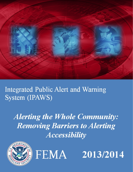

**Integrated Public Alert and Warning** System (IPAWS)

**Alerting the Whole Community: Removing Barriers to Alerting Accessibility** 





2013/2014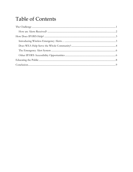# **Table of Contents**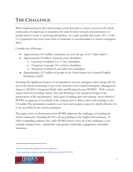# <span id="page-2-0"></span>**THE CHALLENGE**

When implementing an alert and warning system that aims to reach everyone in the whole community, it's important to remember the wide diversity of needs and preferences of people when it comes to receiving information. It is quite possible that nearly 25%[1](#page-2-1) of the U.S. population may need some form of assistance or accommodation to receive emergency alerts.

Consider the following[2:](#page-2-2)

- Approximately 40.5 million Americans are over the age of 65 ("older adults")
- Approximately 54 million Americans have disabilities
	- 5 percent of children 5 to 17 have disabilities
	- 10 percent of people 18 to 64 have disabilities
	- 38 percent of adults 65 and older have disabilities
- Approximately 25.2 million of people in the United States have Limited English Proficiency (LEP)

Ensuring this significant portion of our population receives emergency alerts along with the rest of the whole community is one of the missions of the Federal Emergency Management Agency's (FEMA's) Integrated Public Alert and Warning System (IPAWS). With a clearly stated vision of providing "timely Alert and Warning to the American People in the preservation of life and property," and a goal of making alert and warning "more effective," IPAWS is cognizant of *accessibility* of the systems used to deliver alerts and warnings to the US public. The information needed to save lives and property cannot be wholly effective if it is not accessible by the whole community.

This paper serves to demonstrate how IPAWS addresses the challenges of reaching the whole community, including the 25% of our population who might need assistance. It offers compelling evidence that, while IPAWS doesn't solve all of the challenges, it can certainly mitigate them – particularly with greater stakeholder engagement and public awareness.

<span id="page-2-2"></span><span id="page-2-1"></span><sup>2</sup> [http://quickfacts.census.gov/qfd/states/00000.html,](http://quickfacts.census.gov/qfd/states/00000.html) accessed 4/26/2012



<sup>1</sup> Based on census data, adjusted to remove duplication.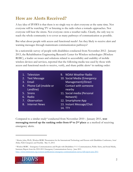### <span id="page-3-0"></span>**How are Alerts Received?**

A key idea of IPAWS is that there is no single way to alert everyone at the same time. Not everyone will be watching TV or listening to the radio when a tornado approaches. Not everyone will hear the sirens. Not everyone owns a weather radio. Clearly, the only way to reach the whole community is to cover as many pathways of communication as possible.

But what about people with access and functional needs? Are they likely to receive alert and warning messages through mainstream communication pathways?

In a nationwide survey of people with disabilities conducted from November 2012 - January 2013, the Rehabilitation Engineering Research Center for Wireless technologies (Wireless RERC), a leader on issues and solutions related to accessibility and usability of mobile wireless devices and services, reported that the following media was used by those with access and functional needs to receive, verify, and share public alerts<sup>[3](#page-3-1)</sup> in ranking order:

- 1. Television
- 2. Text Message
- 3. Email
- 4. Phone Call (mobile or Landline)
- 5. Sirens
- 6. Radio
- 7. Observation
- 8. Internet News
- 9. NOAA Weather Radio
- 10. Social Media (Emergency Management)/Direct Contact with someone nearby
- 11. Social media (Personal Network)
- 12. Smartphone App
- 13. Instant Message/Chat
- 14. TTY

Compared to a similar study[4](#page-3-2) conducted from November 2010 – January 2011, **text messaging moved up the ranking order from 6<sup>th</sup> to 2<sup>nd</sup> place** as a method of receiving emergency alerts.

<span id="page-3-2"></span><sup>4</sup> Wireless RERC. Emergency Communications and People with Disabilities: 9-1-1 Communication, Public Alerts, and Social Media, Summary Report from the 2010-2011 Emergency Communications Survey. June 2011. <http://www.wirelessrerc.org/content/publications/emergency-communications-survey-full-report-june-2011>



<span id="page-3-1"></span><sup>3</sup> [M](http://www.census.gov/main/www/popclock.html)orris, John, Ph.D., Wireless RERC Presentation for the International Technology and Persons with Disabilities Conference, *Social Media, Public Emergencies and Disability*. May 13, 2013.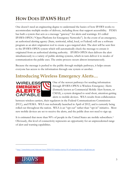# <span id="page-4-0"></span>**HOW DOES IPAWS HELP?**

One doesn't need an engineering degree to understand the basics of how IPAWS works to accommodate multiple modes of delivery, including those that support accessibility. FEMA has built a system that acts as a message "gateway" for alerts and warnings. It's called IPAWS-OPEN ("Open Platform for Emergency Networks"). In the event of an emergency, an authorized alerting agency (State, territorial, tribal, local, or Federal) will use a software program as an alert origination tool to create a geo-targeted alert. The alert will be sent first to the IPAWS-OPEN system which will automatically check the message to ensure it originated from an authorized alerting authority. IPAWS-OPEN then delivers the alert simultaneously to a variety of public alerting systems, which in turn deliver it to modes of communication the public uses. The entire process occurs almost instantaneously.

Because the message is pushed to the public through multiple pathways, it helps ensure everyone has access to the information through one system or another.

### <span id="page-4-1"></span>**Introducing Wireless Emergency Alerts…**



One of the newest pathways for sending information through IPAWS-OPEN is Wireless Emergency Alerts (formerly known as Commercial Mobile Alert System, or CMAS), a system designed to send short, attention-getting alerts to mobile devices. WEA results from collaboration

between wireless carriers, their regulators in the Federal Communications Commission (FCC), and FEMA. WEA was technically launched in April of 2012, and is currently being rolled out throughout the nation. WEA is an "opt out" rather than "opt in" initiative. Most new mobile devices are set to receive the alerts, and the public does not need to sign up.

It is estimated that more than 90% of people in the United States are mobile subscribers.<sup>[5](#page-4-2)</sup> Obviously, this level of connectivity represents an opportunity for an unprecedented range of alert and warning capabilities.

<span id="page-4-2"></span><sup>5</sup> <http://arstechnica.com/telecom/news/2010/03/wireless-survey-91-of-americans-have-cell-phones.ars>

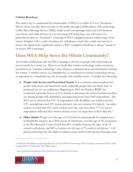#### **Cellular Broadcast**

The easiest way to understand the functionality of WEA is to think of it as a "broadcast." WEA's short, text-like alerts are sent to the public through Cell Broadcast (CB) technology. Unlike Short Message Service (SMS), which sends text messages back and forth between your device and other devices of your choosing, CB technology uses cell towers in a particular location to "broadcast" a message to WEA equipped phones within range of the towers. Imagine it like a radio-broadcast for cell-phones: much like a radio can tune in to receive the signal from a particular station, a WEA equipped cell-phone is always "tuned in" to receive WEA messages.

#### <span id="page-5-0"></span>**Does WEA Help Serve the Whole Community?**

Are mobile notifications, like the WEA messages, relevant to people with functional and access needs? In a word, yes. There is no doubt that wireless technology carries enormous potential as an "assistive technology" that enhances communication and information sharing for *everyone*. A wireless device (i.e. Smartphone) is considered an assistive technology device, as important as a wheelchair may be for people with mobility needs. Consider the following:

- **People with Access and Functional Needs:** It is a common misconception that people with access and functional needs, especially people who are blind, deaf, or paralyzed, do not use cellphones. Beginning in 2001 the Wireless RERC has conducted a periodic Survey of User Needs to determine the level of wireless product use among people with disabilities, encompassing more than 1600 respondents. The 2012 survey showed that 92% of respondents with disabilities use wireless devices (53% smartphones and 32% feature phones). [see new citation # 6 below] An earlier analysis revealed that 65% used wireless every day, and more than 77% of survey respondents indicated that wireless devices were very important in their daily life.[6](#page-5-1)
- **Older Adults:** People over the age of 65 should not automatically be lumped into a technophobe category. In a 2010 survey of Americans, over the age of 18, researchers at the Pew Research Center found that 68% of adults between the ages of 66-74 owned a cell phone, and 48% of adults over the age of 75 owned a cell phone.[7](#page-5-2) Cell phone technology has the ability to address many needs of this group of people, both

<span id="page-5-2"></span><sup>7</sup> [http:](http://www.census.gov/main/www/popclock.html)[//pewinternet.org/Reports/2011/Generations-and-gadgets/Overview.aspx](http://pewinternet.org/Reports/2011/Generations-and-gadgets/Overview.aspx)



<span id="page-5-1"></span><sup>6</sup> [United](http://www.census.gov/main/www/popclock.html) [State. Rehabilitation](http://www.census.gov/main/www/popclock.html) [Engineering](http://www.census.gov/main/www/popclock.html) [Research](http://www.census.gov/main/www/popclock.html) [Center](http://www.census.gov/main/www/popclock.html) [for](http://www.census.gov/main/www/popclock.html) [Wireless](http://www.census.gov/main/www/popclock.html) [Technologies.](http://www.census.gov/main/www/popclock.html) *[Wireless](http://www.census.gov/main/www/popclock.html) [Emergency](http://www.census.gov/main/www/popclock.html) [Communications](http://www.census.gov/main/www/popclock.html) [\(WEC\) Project.](http://www.census.gov/main/www/popclock.html)*  [Georgia](http://www.census.gov/main/www/popclock.html) [Institute](http://www.census.gov/main/www/popclock.html) [of](http://www.census.gov/main/www/popclock.html) [Technology, 2011, Report, page](http://www.census.gov/main/www/popclock.html) [9.](http://www.census.gov/main/www/popclock.html)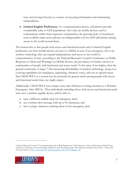now and moving forward, as a means of accessing information and maintaining independence.

● **Limited English Proficiency:** As a communication device, cell phones provide considerable value to LEP populations. Not only are mobile devices used to communicate within their respective communities, the growing body of translation tools available make newer phones an indispensable tool for LEP individuals seeking access to the world around them.

The bottom line is that people with access and functional needs and/or limited English proficiency use their mobile devices not just as a lifeline in case of an emergency, but as an assistive technology that can expand independence and access to the world of communication. In fact, according to the National Research Council's Committee on Public Response to Alerts and Warnings on Mobile devices, the prevalence of wireless devices in communities of people with functional and access needs "is the same, if not higher, than the general community at large."[8](#page-6-0) The increasing affordability of wireless technology, along everevolving capabilities for translation, captioning, vibration, tones, and text-to-speech mean that CMAS/WEA as a system has the potential far greater reach among people with access and functional needs than one might expect.

Additionally, CMAS/WEA uses unique tones and vibrations to bring attention to a Wireless Emergency Alert (WEA). Thus individuals, including those with access and functional needs who own a wireless capable device, will be able to:

- a. hear a different audible beep for emergency alerts
- b. see a written alert message with up to 90 characters, and
- c. feel a unique vibration notifying them of the emergency alert.

<span id="page-6-0"></span><sup>8</sup> [National](http://www.census.gov/main/www/popclock.html) [Research](http://www.census.gov/main/www/popclock.html) [Council. "5 Communicating](http://www.census.gov/main/www/popclock.html) [with](http://www.census.gov/main/www/popclock.html) [At-Risk](http://www.census.gov/main/www/popclock.html) [Populations."](http://www.census.gov/main/www/popclock.html) *[Public](http://www.census.gov/main/www/popclock.html) [Response](http://www.census.gov/main/www/popclock.html) [to](http://www.census.gov/main/www/popclock.html) [Alerts](http://www.census.gov/main/www/popclock.html) [and](http://www.census.gov/main/www/popclock.html) [Warnings](http://www.census.gov/main/www/popclock.html) [on](http://www.census.gov/main/www/popclock.html) [Mobile](http://www.census.gov/main/www/popclock.html) [Devices:](http://www.census.gov/main/www/popclock.html)  [Summary](http://www.census.gov/main/www/popclock.html) [of](http://www.census.gov/main/www/popclock.html) [a](http://www.census.gov/main/www/popclock.html) [Workshop](http://www.census.gov/main/www/popclock.html) [on](http://www.census.gov/main/www/popclock.html) [Current](http://www.census.gov/main/www/popclock.html) [Knowledge](http://www.census.gov/main/www/popclock.html) [and](http://www.census.gov/main/www/popclock.html) [Research](http://www.census.gov/main/www/popclock.html) [Gaps](http://www.census.gov/main/www/popclock.html)*[. Washington, DC: The](http://www.census.gov/main/www/popclock.html) [National](http://www.census.gov/main/www/popclock.html) [Academies](http://www.census.gov/main/www/popclock.html) [Press, 2011. 1. Print,](http://www.census.gov/main/www/popclock.html) p38. Accessed online at: [http://www.nap.edu/openbook.php?record\\_id=13076&page=38](http://www.nap.edu/openbook.php?record_id=13076&page=38)

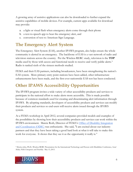A growing array of assistive applications can also be downloaded to further expand the assistive capabilities of mobile devices. For example, current apps available for download may provide:

- a. a light or visual flash when emergency alerts come through their phone
- b. a text-to-speech app to hear the emergency alert, and
- c. conversion of text to American Sign Language.

### <span id="page-7-0"></span>**The Emergency Alert System**

The Emergency Alert System (EAS), another IPAWS program, also helps ensure the whole community is alerted in an emergency. The backbone of EAS is a vast network of radio and television stations across the country. Per the Wireless RERC study, television is the **TOP** media used by those with access and functional needs to receive and verify public alerts.[9](#page-7-2) Radio is ranked sixth of the sixteen methods studied.

FEMA and their EAS partners, including broadcasters, have been strengthening the nation's EAS system. More primary entry point stations have been added, other infrastructure enhancements have been made, and the first-ever nationwide EAS test has been conducted.

## <span id="page-7-1"></span>**Other IPAWS Accessibility Opportunities**

The IPAWS program invites a wide variety of other accessibility products and services to participate in the national effort to make alerts more accessible. This is made possible because of common standards used for creating and disseminating alert information through IPAWS. By adopting standards, developers of accessibility products and services can modify their products and services so end-users will receive alerts issued through the IPAWS system.

At a FEMA workshop in April 2012, several companies provided models and examples of the possibilities by showing how their accessibility products and services can work within the IPAWS environment. Marcie Roth, Director of FEMA's [Office](http://www.fema.gov/about/odic/) [of](http://www.fema.gov/about/odic/) [Disability](http://www.fema.gov/about/odic/) [Integration](http://www.fema.gov/about/odic/) [and](http://www.fema.gov/about/odic/) [Coordination](http://www.fema.gov/about/odic/) [\(ODIC\)](http://www.fema.gov/about/odic/) was enthusiastic. She said, "I am excited about our industry partners and that they have been taking a good hard look at what it will take to make this work for everyone. It shows that they see it as the opportunity it really is."

<span id="page-7-2"></span><sup>9</sup> [M](http://www.census.gov/main/www/popclock.html)orris, John, Ph.D., Wireless RERC Presentation for the International Technology and Persons with Disabilities Conference, *Social Media, Public Emergencies and Disability*. May 13, 2013.

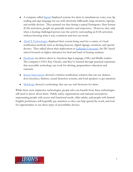- A company called **Signtel** displayed systems for alerts in simultaneous voice, text, lip reading and sign language for use with electronic billboards, large monitors, laptops, and mobile devices. They pointed out that during a typical Emergency Alert System (EAS) activation, people are generally attentive and responsive. However, they said, when a hearing challenged person sees the activity surrounding an EAS activation without knowing what it was, confusion and fear can result.
- [AlertUS](http://www.alertus.com/) [Technologies](http://www.alertus.com/) displayed their system being used for a variety of visual notification methods such as alerting beacons, digital signage, monitors, and special devices. They talked about their deployment at **Gallaudet University**, the DC-based school focused on higher education for deaf and hard of hearing students.
- [DeafLink](http://www.deaflink.com/) can deliver alerts in American Sign Language (ASL) and Braille readers. The company's CEO, Kay Chiodo, said they've learned through practical experience that accessible technology can work for alerting, preparedness education and outreach.
- [Serene](http://www.sereneinnovations.com/) [Innovations](http://www.sereneinnovations.com/) showed a wireless notification solution that can use shakers, door-knockers, flashers, sound detection systems, and loud speakers to get attention.
- [MobiLaps](http://www.mobilaps.com/) showed a technology that can use web browsers for alerts.

While these were impressive technologies, people who can benefit from these technologies still need to know about them. Public safety organizations and national associations representing people with access and functional needs, older adults, and people with limited English proficiency will hopefully pay attention so they can help spread the word, and look for opportunities to use these types of accessibility devices.

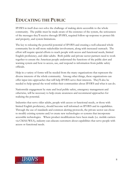# <span id="page-9-0"></span>**EDUCATING THE PUBLIC**

IPAWS in itself does not solve the challenge of making alerts accessible to the whole community. The public must be made aware of the existence of the system, the seriousness of the messages they'll receive through IPAWS, required follow-up response to protect life and property, and system limitations.

The key to releasing the powerful potential of IPAWS and creating a well-educated whole community lies in still more stakeholder involvement, along with increased outreach. The effort will require special efforts to reach people with access and functional needs, limited English proficiency, and older adults. Both public and private sector partners need to work together to ensure the American people understand the functions of the public alert and warning system and how to access, use, and respond to information from public safety officials.

Help in a variety of forms will be needed from the many organizations that represent the diverse interests of the whole community. Among other things, these organizations can offer input into approaches that will help IPAWS serve their interests. They'll also be needed to help spread the word within their communities about IPAWS and what it can do.

Nationwide engagement by state and local public safety, emergency management and otherwise, will be necessary to help create awareness and recommend approaches for realizing the potential.

Industries that serve older adults, people with access or functional needs, or those with limited English proficiency, should become well informed on IPAWS and its capabilities. Through the use of standards and common alerting protocols, the private sector can chose to modify existing systems and/or create new technologies or systems that incorporate accessible technologies. Where product modifications have been made (i.e. mobile carriers via CMAS/WEA), industry can educate customers about capabilities that serve people with access or functional needs.

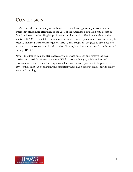## <span id="page-10-0"></span>**CONCLUSION**

IPAWS provides public safety officials with a tremendous opportunity to communicate emergency alerts more effectively to the 25% of the American population with access or functional needs, limited English proficiency, or older adults. This is made clear by the ability of IPAWS to facilitate communications to all types of systems and tools, including the recently-launched Wireless Emergency Alerts (WEA) program. Progress to date does not guarantee the whole community will receive all alerts, but clearly more people can be alerted through IPAWS.

Now is the time to take the steps necessary to increase outreach and remove the final barriers to accessible information within WEA. Creative thought, collaboration, and cooperation are still required among stakeholders and industry partners to help serve the 25% of the American population who historically have had a difficult time receiving timely alerts and warnings.